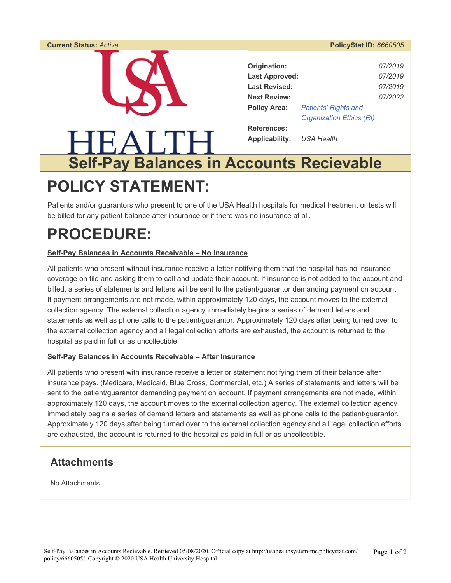### **Current Status:** *Active* **PolicyStat ID:** *6660505*  **Origination:** *07/2019*  **Last Approved:** *07/2019*  **Last Revised:** *07/2019*  **Next Review:** *07/2022*  **Policy Area:** *Patients' Rights and Organization Ethics (RI)*  **References:**  TEALTH. **Applicability:** *USA Health*  **Self-Pay Balances in Accounts Recievable**

# **POLICY STATEMENT:**

Patients and/or guarantors who present to one of the USA Health hospitals for medical treatment or tests will be billed for any patient balance after insurance or if there was no insurance at all.

# **PROCEDURE:**

#### **Self-Pay Balances in Accounts Receivable – No Insurance**

All patients who present without insurance receive a letter notifying them that the hospital has no insurance coverage on file and asking them to call and update their account. If insurance is not added to the account and billed, a series of statements and letters will be sent to the patient/guarantor demanding payment on account. If payment arrangements are not made, within approximately 120 days, the account moves to the external collection agency. The external collection agency immediately begins a series of demand letters and statements as well as phone calls to the patient/guarantor. Approximately 120 days after being turned over to the external collection agency and all legal collection efforts are exhausted, the account is returned to the hospital as paid in full or as uncollectible.

#### **Self-Pay Balances in Accounts Receivable – After Insurance**

All patients who present with insurance receive a letter or statement notifying them of their balance after insurance pays. (Medicare, Medicaid, Blue Cross, Commercial, etc.) A series of statements and letters will be sent to the patient/guarantor demanding payment on account. If payment arrangements are not made, within approximately 120 days, the account moves to the external collection agency. The external collection agency immediately begins a series of demand letters and statements as well as phone calls to the patient/guarantor. Approximately 120 days after being turned over to the external collection agency and all legal collection efforts are exhausted, the account is returned to the hospital as paid in full or as uncollectible.

### **Attachments**

No Attachments